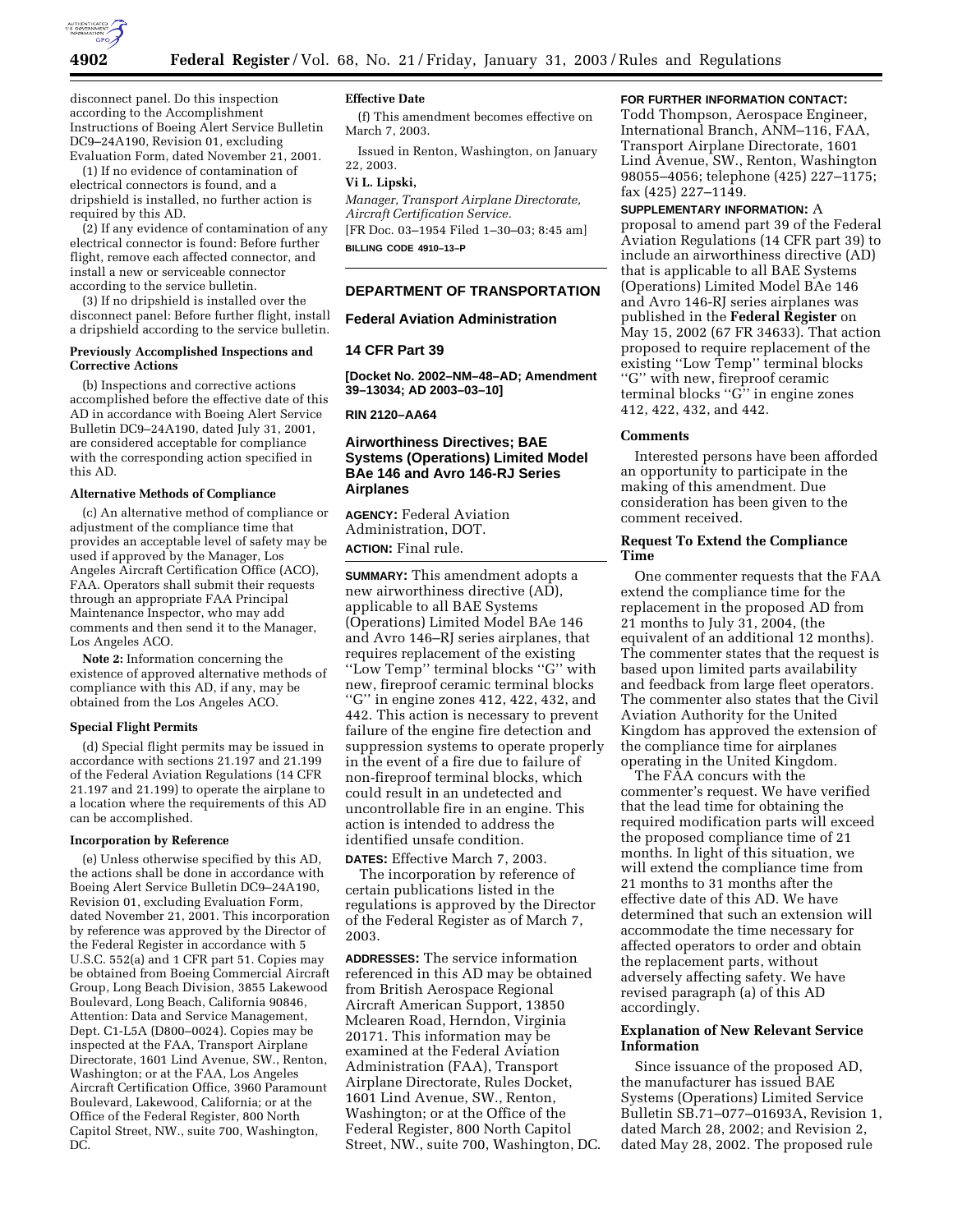

disconnect panel. Do this inspection according to the Accomplishment Instructions of Boeing Alert Service Bulletin DC9–24A190, Revision 01, excluding Evaluation Form, dated November 21, 2001.

(1) If no evidence of contamination of electrical connectors is found, and a dripshield is installed, no further action is required by this AD.

(2) If any evidence of contamination of any electrical connector is found: Before further flight, remove each affected connector, and install a new or serviceable connector according to the service bulletin.

(3) If no dripshield is installed over the disconnect panel: Before further flight, install a dripshield according to the service bulletin.

#### **Previously Accomplished Inspections and Corrective Actions**

(b) Inspections and corrective actions accomplished before the effective date of this AD in accordance with Boeing Alert Service Bulletin DC9–24A190, dated July 31, 2001, are considered acceptable for compliance with the corresponding action specified in this AD.

## **Alternative Methods of Compliance**

(c) An alternative method of compliance or adjustment of the compliance time that provides an acceptable level of safety may be used if approved by the Manager, Los Angeles Aircraft Certification Office (ACO), FAA. Operators shall submit their requests through an appropriate FAA Principal Maintenance Inspector, who may add comments and then send it to the Manager, Los Angeles ACO.

**Note 2:** Information concerning the existence of approved alternative methods of compliance with this AD, if any, may be obtained from the Los Angeles ACO.

### **Special Flight Permits**

(d) Special flight permits may be issued in accordance with sections 21.197 and 21.199 of the Federal Aviation Regulations (14 CFR 21.197 and 21.199) to operate the airplane to a location where the requirements of this AD can be accomplished.

#### **Incorporation by Reference**

(e) Unless otherwise specified by this AD, the actions shall be done in accordance with Boeing Alert Service Bulletin DC9–24A190, Revision 01, excluding Evaluation Form, dated November 21, 2001. This incorporation by reference was approved by the Director of the Federal Register in accordance with 5 U.S.C. 552(a) and 1 CFR part 51. Copies may be obtained from Boeing Commercial Aircraft Group, Long Beach Division, 3855 Lakewood Boulevard, Long Beach, California 90846, Attention: Data and Service Management, Dept. C1-L5A (D800–0024). Copies may be inspected at the FAA, Transport Airplane Directorate, 1601 Lind Avenue, SW., Renton, Washington; or at the FAA, Los Angeles Aircraft Certification Office, 3960 Paramount Boulevard, Lakewood, California; or at the Office of the Federal Register, 800 North Capitol Street, NW., suite 700, Washington, DC.

## **Effective Date**

(f) This amendment becomes effective on March 7, 2003.

Issued in Renton, Washington, on January 22, 2003.

# **Vi L. Lipski,**

*Manager, Transport Airplane Directorate, Aircraft Certification Service.* [FR Doc. 03–1954 Filed 1–30–03; 8:45 am]

**BILLING CODE 4910–13–P**

# **DEPARTMENT OF TRANSPORTATION**

#### **Federal Aviation Administration**

## **14 CFR Part 39**

**[Docket No. 2002–NM–48–AD; Amendment 39–13034; AD 2003–03–10]** 

**RIN 2120–AA64** 

## **Airworthiness Directives; BAE Systems (Operations) Limited Model BAe 146 and Avro 146-RJ Series Airplanes**

**AGENCY:** Federal Aviation Administration, DOT. **ACTION:** Final rule.

**SUMMARY:** This amendment adopts a new airworthiness directive (AD), applicable to all BAE Systems (Operations) Limited Model BAe 146 and Avro 146–RJ series airplanes, that requires replacement of the existing ''Low Temp'' terminal blocks ''G'' with new, fireproof ceramic terminal blocks "G" in engine zones 412, 422, 432, and 442. This action is necessary to prevent failure of the engine fire detection and suppression systems to operate properly in the event of a fire due to failure of non-fireproof terminal blocks, which could result in an undetected and uncontrollable fire in an engine. This action is intended to address the identified unsafe condition.

#### **DATES:** Effective March 7, 2003.

The incorporation by reference of certain publications listed in the regulations is approved by the Director of the Federal Register as of March 7, 2003.

**ADDRESSES:** The service information referenced in this AD may be obtained from British Aerospace Regional Aircraft American Support, 13850 Mclearen Road, Herndon, Virginia 20171. This information may be examined at the Federal Aviation Administration (FAA), Transport Airplane Directorate, Rules Docket, 1601 Lind Avenue, SW., Renton, Washington; or at the Office of the Federal Register, 800 North Capitol Street, NW., suite 700, Washington, DC.

## **FOR FURTHER INFORMATION CONTACT:**

Todd Thompson, Aerospace Engineer, International Branch, ANM–116, FAA, Transport Airplane Directorate, 1601 Lind Avenue, SW., Renton, Washington 98055–4056; telephone (425) 227–1175; fax (425) 227–1149.

#### **SUPPLEMENTARY INFORMATION:** A

proposal to amend part 39 of the Federal Aviation Regulations (14 CFR part 39) to include an airworthiness directive (AD) that is applicable to all BAE Systems (Operations) Limited Model BAe 146 and Avro 146-RJ series airplanes was published in the **Federal Register** on May 15, 2002 (67 FR 34633). That action proposed to require replacement of the existing ''Low Temp'' terminal blocks ''G'' with new, fireproof ceramic terminal blocks ''G'' in engine zones 412, 422, 432, and 442.

## **Comments**

Interested persons have been afforded an opportunity to participate in the making of this amendment. Due consideration has been given to the comment received.

## **Request To Extend the Compliance Time**

One commenter requests that the FAA extend the compliance time for the replacement in the proposed AD from 21 months to July 31, 2004, (the equivalent of an additional 12 months). The commenter states that the request is based upon limited parts availability and feedback from large fleet operators. The commenter also states that the Civil Aviation Authority for the United Kingdom has approved the extension of the compliance time for airplanes operating in the United Kingdom.

The FAA concurs with the commenter's request. We have verified that the lead time for obtaining the required modification parts will exceed the proposed compliance time of 21 months. In light of this situation, we will extend the compliance time from 21 months to 31 months after the effective date of this AD. We have determined that such an extension will accommodate the time necessary for affected operators to order and obtain the replacement parts, without adversely affecting safety. We have revised paragraph (a) of this AD accordingly.

## **Explanation of New Relevant Service Information**

Since issuance of the proposed AD, the manufacturer has issued BAE Systems (Operations) Limited Service Bulletin SB.71–077–01693A, Revision 1, dated March 28, 2002; and Revision 2, dated May 28, 2002. The proposed rule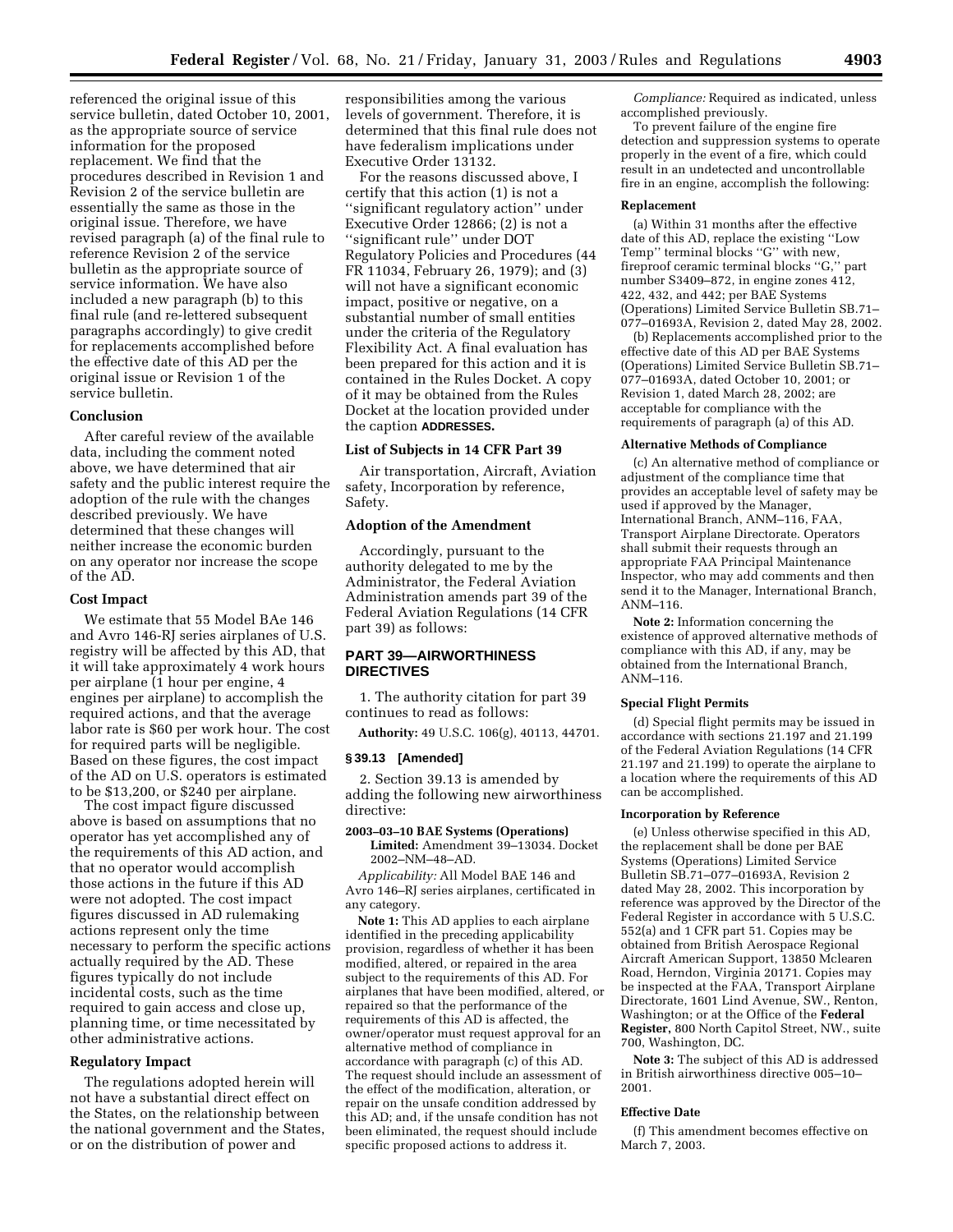referenced the original issue of this service bulletin, dated October 10, 2001, as the appropriate source of service information for the proposed replacement. We find that the procedures described in Revision 1 and Revision 2 of the service bulletin are essentially the same as those in the original issue. Therefore, we have revised paragraph (a) of the final rule to reference Revision 2 of the service bulletin as the appropriate source of service information. We have also included a new paragraph (b) to this final rule (and re-lettered subsequent paragraphs accordingly) to give credit for replacements accomplished before the effective date of this AD per the original issue or Revision 1 of the service bulletin.

## **Conclusion**

After careful review of the available data, including the comment noted above, we have determined that air safety and the public interest require the adoption of the rule with the changes described previously. We have determined that these changes will neither increase the economic burden on any operator nor increase the scope of the AD.

### **Cost Impact**

We estimate that 55 Model BAe 146 and Avro 146-RJ series airplanes of U.S. registry will be affected by this AD, that it will take approximately 4 work hours per airplane (1 hour per engine, 4 engines per airplane) to accomplish the required actions, and that the average labor rate is \$60 per work hour. The cost for required parts will be negligible. Based on these figures, the cost impact of the AD on U.S. operators is estimated to be \$13,200, or \$240 per airplane.

The cost impact figure discussed above is based on assumptions that no operator has yet accomplished any of the requirements of this AD action, and that no operator would accomplish those actions in the future if this AD were not adopted. The cost impact figures discussed in AD rulemaking actions represent only the time necessary to perform the specific actions actually required by the AD. These figures typically do not include incidental costs, such as the time required to gain access and close up, planning time, or time necessitated by other administrative actions.

### **Regulatory Impact**

The regulations adopted herein will not have a substantial direct effect on the States, on the relationship between the national government and the States, or on the distribution of power and

responsibilities among the various levels of government. Therefore, it is determined that this final rule does not have federalism implications under Executive Order 13132.

For the reasons discussed above, I certify that this action (1) is not a ''significant regulatory action'' under Executive Order 12866; (2) is not a ''significant rule'' under DOT Regulatory Policies and Procedures (44 FR 11034, February 26, 1979); and (3) will not have a significant economic impact, positive or negative, on a substantial number of small entities under the criteria of the Regulatory Flexibility Act. A final evaluation has been prepared for this action and it is contained in the Rules Docket. A copy of it may be obtained from the Rules Docket at the location provided under the caption **ADDRESSES.**

# **List of Subjects in 14 CFR Part 39**

Air transportation, Aircraft, Aviation safety, Incorporation by reference, Safety.

### **Adoption of the Amendment**

Accordingly, pursuant to the authority delegated to me by the Administrator, the Federal Aviation Administration amends part 39 of the Federal Aviation Regulations (14 CFR part 39) as follows:

## **PART 39—AIRWORTHINESS DIRECTIVES**

1. The authority citation for part 39 continues to read as follows:

**Authority:** 49 U.S.C. 106(g), 40113, 44701.

### **§ 39.13 [Amended]**

2. Section 39.13 is amended by adding the following new airworthiness directive:

### **2003–03–10 BAE Systems (Operations)**

**Limited:** Amendment 39–13034. Docket 2002–NM–48–AD.

*Applicability:* All Model BAE 146 and Avro 146–RJ series airplanes, certificated in any category.

**Note 1:** This AD applies to each airplane identified in the preceding applicability provision, regardless of whether it has been modified, altered, or repaired in the area subject to the requirements of this AD. For airplanes that have been modified, altered, or repaired so that the performance of the requirements of this AD is affected, the owner/operator must request approval for an alternative method of compliance in accordance with paragraph (c) of this AD. The request should include an assessment of the effect of the modification, alteration, or repair on the unsafe condition addressed by this AD; and, if the unsafe condition has not been eliminated, the request should include specific proposed actions to address it.

*Compliance:* Required as indicated, unless accomplished previously.

To prevent failure of the engine fire detection and suppression systems to operate properly in the event of a fire, which could result in an undetected and uncontrollable fire in an engine, accomplish the following:

### **Replacement**

(a) Within 31 months after the effective date of this AD, replace the existing ''Low Temp" terminal blocks "G" with new, fireproof ceramic terminal blocks ''G,'' part number S3409–872, in engine zones 412, 422, 432, and 442; per BAE Systems (Operations) Limited Service Bulletin SB.71– 077–01693A, Revision 2, dated May 28, 2002.

(b) Replacements accomplished prior to the effective date of this AD per BAE Systems (Operations) Limited Service Bulletin SB.71– 077–01693A, dated October 10, 2001; or Revision 1, dated March 28, 2002; are acceptable for compliance with the requirements of paragraph (a) of this AD.

### **Alternative Methods of Compliance**

(c) An alternative method of compliance or adjustment of the compliance time that provides an acceptable level of safety may be used if approved by the Manager, International Branch, ANM–116, FAA, Transport Airplane Directorate. Operators shall submit their requests through an appropriate FAA Principal Maintenance Inspector, who may add comments and then send it to the Manager, International Branch, ANM–116.

**Note 2:** Information concerning the existence of approved alternative methods of compliance with this AD, if any, may be obtained from the International Branch, ANM–116.

#### **Special Flight Permits**

(d) Special flight permits may be issued in accordance with sections 21.197 and 21.199 of the Federal Aviation Regulations (14 CFR 21.197 and 21.199) to operate the airplane to a location where the requirements of this AD can be accomplished.

# **Incorporation by Reference**

(e) Unless otherwise specified in this AD, the replacement shall be done per BAE Systems (Operations) Limited Service Bulletin SB.71–077–01693A, Revision 2 dated May 28, 2002. This incorporation by reference was approved by the Director of the Federal Register in accordance with 5 U.S.C. 552(a) and 1 CFR part 51. Copies may be obtained from British Aerospace Regional Aircraft American Support, 13850 Mclearen Road, Herndon, Virginia 20171. Copies may be inspected at the FAA, Transport Airplane Directorate, 1601 Lind Avenue, SW., Renton, Washington; or at the Office of the **Federal Register,** 800 North Capitol Street, NW., suite 700, Washington, DC.

**Note 3:** The subject of this AD is addressed in British airworthiness directive 005–10– 2001.

#### **Effective Date**

(f) This amendment becomes effective on March 7, 2003.